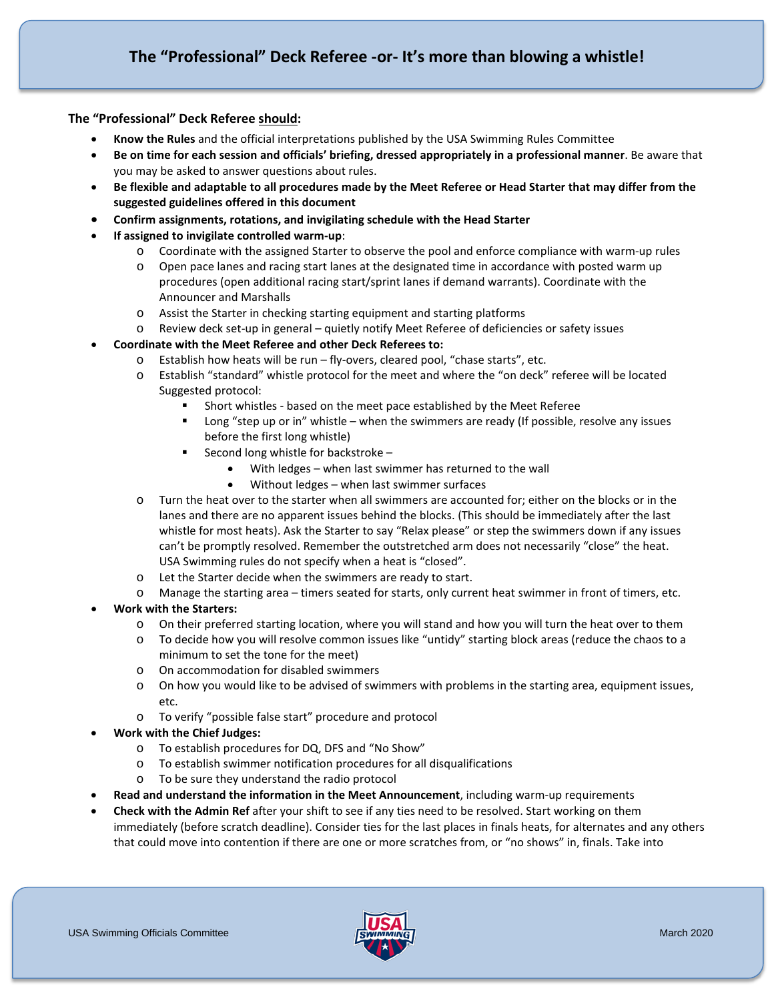## **The "Professional" Deck Referee should:**

- **Know the Rules** and the official interpretations published by the USA Swimming Rules Committee
- **Be on time for each session and officials' briefing, dressed appropriately in a professional manner**. Be aware that you may be asked to answer questions about rules.
- **Be flexible and adaptable to all procedures made by the Meet Referee or Head Starter that may differ from the suggested guidelines offered in this document**
- **Confirm assignments, rotations, and invigilating schedule with the Head Starter**
- **If assigned to invigilate controlled warm-up**:
	- o Coordinate with the assigned Starter to observe the pool and enforce compliance with warm-up rules
	- o Open pace lanes and racing start lanes at the designated time in accordance with posted warm up procedures (open additional racing start/sprint lanes if demand warrants). Coordinate with the Announcer and Marshalls
	- o Assist the Starter in checking starting equipment and starting platforms
	- o Review deck set-up in general quietly notify Meet Referee of deficiencies or safety issues
- **Coordinate with the Meet Referee and other Deck Referees to:** 
	- o Establish how heats will be run fly-overs, cleared pool, "chase starts", etc.
	- o Establish "standard" whistle protocol for the meet and where the "on deck" referee will be located Suggested protocol:
		- Short whistles based on the meet pace established by the Meet Referee
		- Long "step up or in" whistle when the swimmers are ready (If possible, resolve any issues before the first long whistle)
		- Second long whistle for backstroke
			- With ledges when last swimmer has returned to the wall
			- Without ledges when last swimmer surfaces
	- o Turn the heat over to the starter when all swimmers are accounted for; either on the blocks or in the lanes and there are no apparent issues behind the blocks. (This should be immediately after the last whistle for most heats). Ask the Starter to say "Relax please" or step the swimmers down if any issues can't be promptly resolved. Remember the outstretched arm does not necessarily "close" the heat. USA Swimming rules do not specify when a heat is "closed".
	- o Let the Starter decide when the swimmers are ready to start.
	- o Manage the starting area timers seated for starts, only current heat swimmer in front of timers, etc.
- **Work with the Starters:**
	- o On their preferred starting location, where you will stand and how you will turn the heat over to them
	- o To decide how you will resolve common issues like "untidy" starting block areas (reduce the chaos to a minimum to set the tone for the meet)
	- o On accommodation for disabled swimmers
	- o On how you would like to be advised of swimmers with problems in the starting area, equipment issues, etc.
	- o To verify "possible false start" procedure and protocol
- **Work with the Chief Judges:**
	- o To establish procedures for DQ, DFS and "No Show"
	- o To establish swimmer notification procedures for all disqualifications
	- o To be sure they understand the radio protocol
- **Read and understand the information in the Meet Announcement**, including warm-up requirements
- **Check with the Admin Ref** after your shift to see if any ties need to be resolved. Start working on them immediately (before scratch deadline). Consider ties for the last places in finals heats, for alternates and any others that could move into contention if there are one or more scratches from, or "no shows" in, finals. Take into

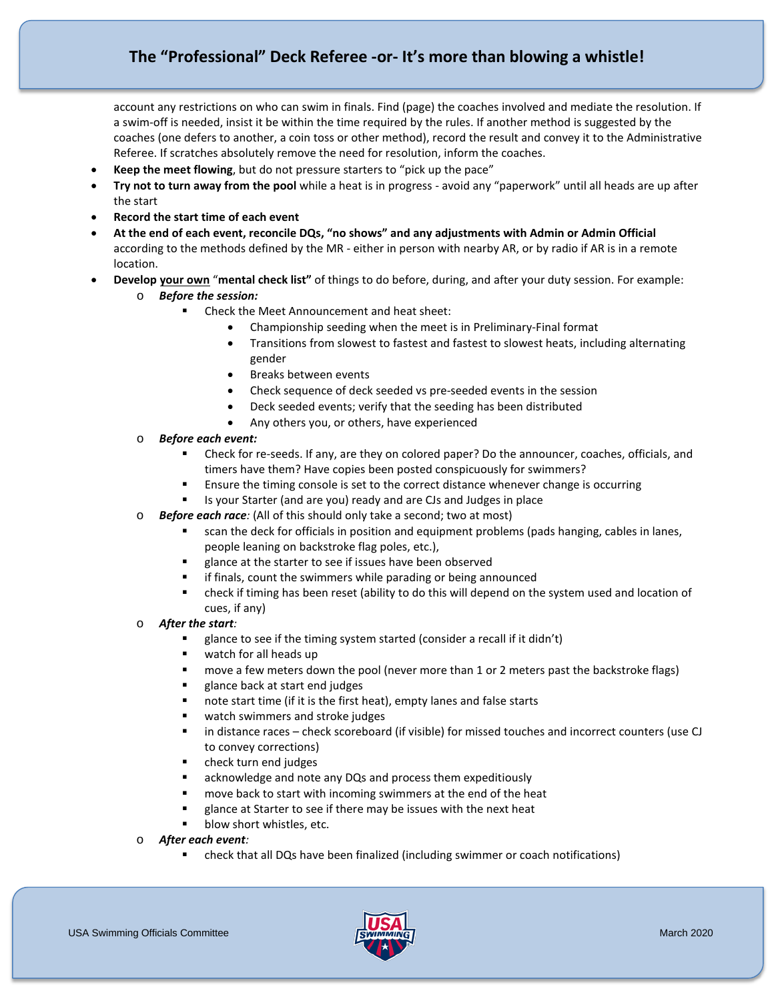# **The "Professional" Deck Referee -or- It's more than blowing a whistle!**

account any restrictions on who can swim in finals. Find (page) the coaches involved and mediate the resolution. If a swim-off is needed, insist it be within the time required by the rules. If another method is suggested by the coaches (one defers to another, a coin toss or other method), record the result and convey it to the Administrative Referee. If scratches absolutely remove the need for resolution, inform the coaches.

- **Keep the meet flowing**, but do not pressure starters to "pick up the pace"
- **Try not to turn away from the pool** while a heat is in progress avoid any "paperwork" until all heads are up after the start
- **Record the start time of each event**
- **At the end of each event, reconcile DQs, "no shows" and any adjustments with Admin or Admin Official**  according to the methods defined by the MR - either in person with nearby AR, or by radio if AR is in a remote location.
- **Develop your own** "**mental check list"** of things to do before, during, and after your duty session. For example:
	- o *Before the session:*
		- Check the Meet Announcement and heat sheet:
			- Championship seeding when the meet is in Preliminary-Final format
			- Transitions from slowest to fastest and fastest to slowest heats, including alternating gender
			- Breaks between events
			- Check sequence of deck seeded vs pre-seeded events in the session
			- Deck seeded events; verify that the seeding has been distributed
			- Any others you, or others, have experienced
	- o *Before each event:*
		- Check for re-seeds. If any, are they on colored paper? Do the announcer, coaches, officials, and timers have them? Have copies been posted conspicuously for swimmers?
		- Ensure the timing console is set to the correct distance whenever change is occurring
		- Is your Starter (and are you) ready and are CJs and Judges in place
	- o *Before each race:* (All of this should only take a second; two at most)
		- scan the deck for officials in position and equipment problems (pads hanging, cables in lanes, people leaning on backstroke flag poles, etc.),
		- glance at the starter to see if issues have been observed
		- **F** if finals, count the swimmers while parading or being announced
		- check if timing has been reset (ability to do this will depend on the system used and location of cues, if any)
	- o *After the start:*
		- glance to see if the timing system started (consider a recall if it didn't)
		- watch for all heads up
		- **numove a few meters down the pool (never more than 1 or 2 meters past the backstroke flags)**
		- glance back at start end judges
		- note start time (if it is the first heat), empty lanes and false starts
		- **u** watch swimmers and stroke judges
		- in distance races check scoreboard (if visible) for missed touches and incorrect counters (use CJ to convey corrections)
		- **•** check turn end judges
		- acknowledge and note any DQs and process them expeditiously
		- move back to start with incoming swimmers at the end of the heat
		- glance at Starter to see if there may be issues with the next heat
		- blow short whistles, etc.
	- o *After each event:*
		- check that all DQs have been finalized (including swimmer or coach notifications)

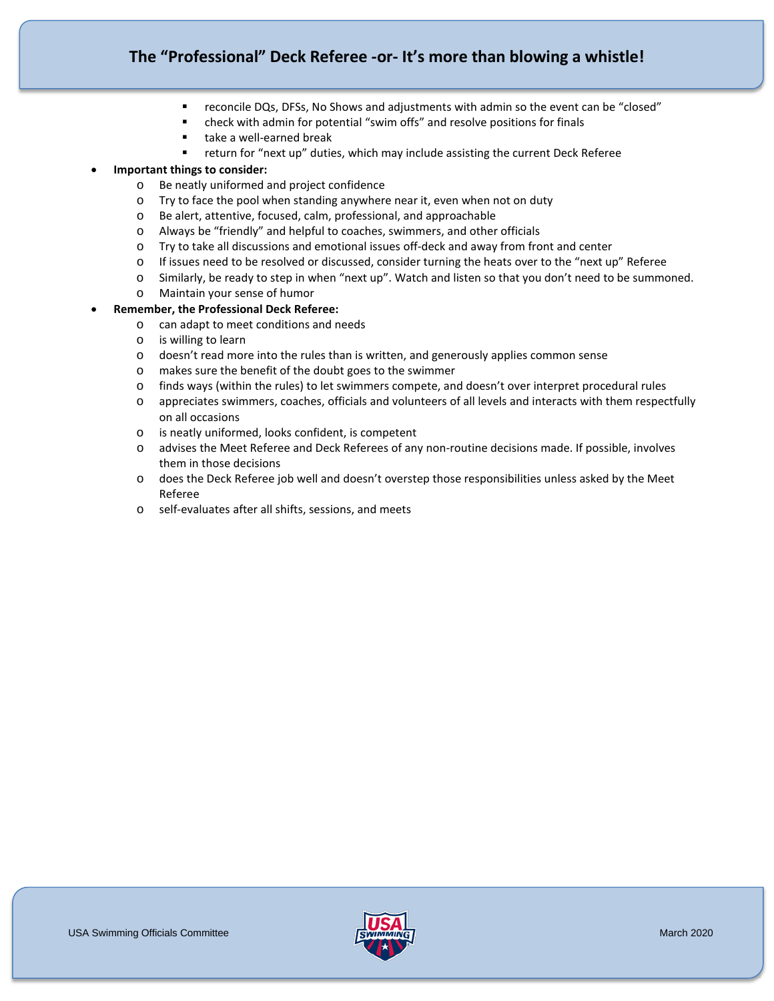# **The "Professional" Deck Referee -or- It's more than blowing a whistle!**

- reconcile DQs, DFSs, No Shows and adjustments with admin so the event can be "closed"
- check with admin for potential "swim offs" and resolve positions for finals
- take a well-earned break
- return for "next up" duties, which may include assisting the current Deck Referee

## • **Important things to consider:**

- o Be neatly uniformed and project confidence
- o Try to face the pool when standing anywhere near it, even when not on duty
- o Be alert, attentive, focused, calm, professional, and approachable
- o Always be "friendly" and helpful to coaches, swimmers, and other officials
- o Try to take all discussions and emotional issues off-deck and away from front and center
- o If issues need to be resolved or discussed, consider turning the heats over to the "next up" Referee
- o Similarly, be ready to step in when "next up". Watch and listen so that you don't need to be summoned.
- o Maintain your sense of humor
- **Remember, the Professional Deck Referee:**
	- o can adapt to meet conditions and needs
	- o is willing to learn
	- o doesn't read more into the rules than is written, and generously applies common sense
	- o makes sure the benefit of the doubt goes to the swimmer
	- o finds ways (within the rules) to let swimmers compete, and doesn't over interpret procedural rules
	- o appreciates swimmers, coaches, officials and volunteers of all levels and interacts with them respectfully on all occasions
	- o is neatly uniformed, looks confident, is competent
	- o advises the Meet Referee and Deck Referees of any non-routine decisions made. If possible, involves them in those decisions
	- o does the Deck Referee job well and doesn't overstep those responsibilities unless asked by the Meet Referee
	- o self-evaluates after all shifts, sessions, and meets